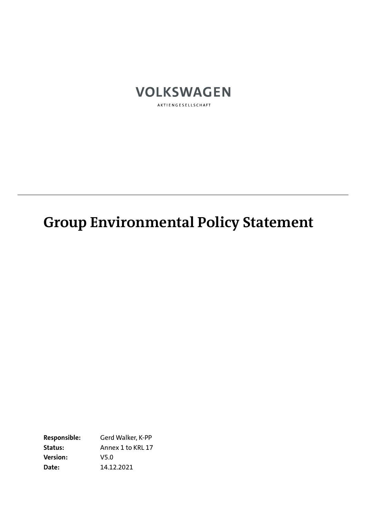

AKTIENGESELLSCHAFT

# **Group Environmental Policy Statement**

**Responsible:** Gerd Walker, K-PP **Status:** Annex 1 to KRL 17 **Version:** V5.0 **Date:** 14.12.2021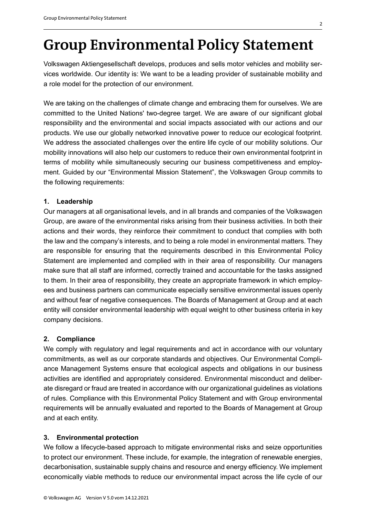## **Group Environmental Policy Statement**

Volkswagen Aktiengesellschaft develops, produces and sells motor vehicles and mobility services worldwide. Our identity is: We want to be a leading provider of sustainable mobility and a role model for the protection of our environment.

We are taking on the challenges of climate change and embracing them for ourselves. We are committed to the United Nations' two-degree target. We are aware of our significant global responsibility and the environmental and social impacts associated with our actions and our products. We use our globally networked innovative power to reduce our ecological footprint. We address the associated challenges over the entire life cycle of our mobility solutions. Our mobility innovations will also help our customers to reduce their own environmental footprint in terms of mobility while simultaneously securing our business competitiveness and employment. Guided by our "Environmental Mission Statement", the Volkswagen Group commits to the following requirements:

#### **1. Leadership**

Our managers at all organisational levels, and in all brands and companies of the Volkswagen Group, are aware of the environmental risks arising from their business activities. In both their actions and their words, they reinforce their commitment to conduct that complies with both the law and the company's interests, and to being a role model in environmental matters. They are responsible for ensuring that the requirements described in this Environmental Policy Statement are implemented and complied with in their area of responsibility. Our managers make sure that all staff are informed, correctly trained and accountable for the tasks assigned to them. In their area of responsibility, they create an appropriate framework in which employees and business partners can communicate especially sensitive environmental issues openly and without fear of negative consequences. The Boards of Management at Group and at each entity will consider environmental leadership with equal weight to other business criteria in key company decisions.

#### **2. Compliance**

We comply with regulatory and legal requirements and act in accordance with our voluntary commitments, as well as our corporate standards and objectives. Our Environmental Compliance Management Systems ensure that ecological aspects and obligations in our business activities are identified and appropriately considered. Environmental misconduct and deliberate disregard or fraud are treated in accordance with our organizational guidelines as violations of rules. Compliance with this Environmental Policy Statement and with Group environmental requirements will be annually evaluated and reported to the Boards of Management at Group and at each entity.

#### **3. Environmental protection**

We follow a lifecycle-based approach to mitigate environmental risks and seize opportunities to protect our environment. These include, for example, the integration of renewable energies, decarbonisation, sustainable supply chains and resource and energy efficiency. We implement economically viable methods to reduce our environmental impact across the life cycle of our